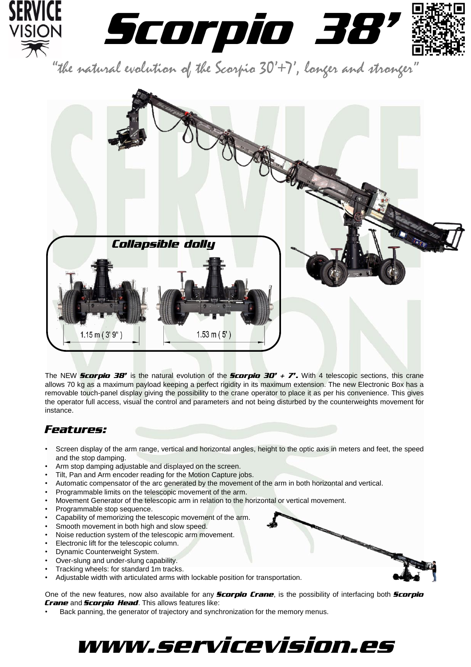

"the natural evolution of the Scorpio  $30'$ +7', longer and stronger



The NEW *Scorpio 38'* is the natural evolution of the *Scorpio 30' + 7'.* With 4 telescopic sections, this crane allows 70 kg as a maximum payload keeping a perfect rigidity in its maximum extension. The new Electronic Box has a removable touch-panel display giving the possibility to the crane operator to place it as per his convenience. This gives the operator full access, visual the control and parameters and not being disturbed by the counterweights movement for instance.

## *Features:*

- Screen display of the arm range, vertical and horizontal angles, height to the optic axis in meters and feet, the speed and the stop damping.
- Arm stop damping adjustable and displayed on the screen.
- Tilt, Pan and Arm encoder reading for the Motion Capture jobs.
- Automatic compensator of the arc generated by the movement of the arm in both horizontal and vertical.
- Programmable limits on the telescopic movement of the arm.
- Movement Generator of the telescopic arm in relation to the horizontal or vertical movement.
- Programmable stop sequence.
- Capability of memorizing the telescopic movement of the arm.
- Smooth movement in both high and slow speed.
- Noise reduction system of the telescopic arm movement.
- Electronic lift for the telescopic column.
- Dynamic Counterweight System.
- Over-slung and under-slung capability.
- Tracking wheels: for standard 1m tracks.
- Adjustable width with articulated arms with lockable position for transportation.

One of the new features, now also available for any *Scorpio Crane*, is the possibility of interfacing both *Scorpio Crane* and *Scorpio Head*. This allows features like:

• Back panning, the generator of trajectory and synchronization for the memory menus.

# www.servicevision.es